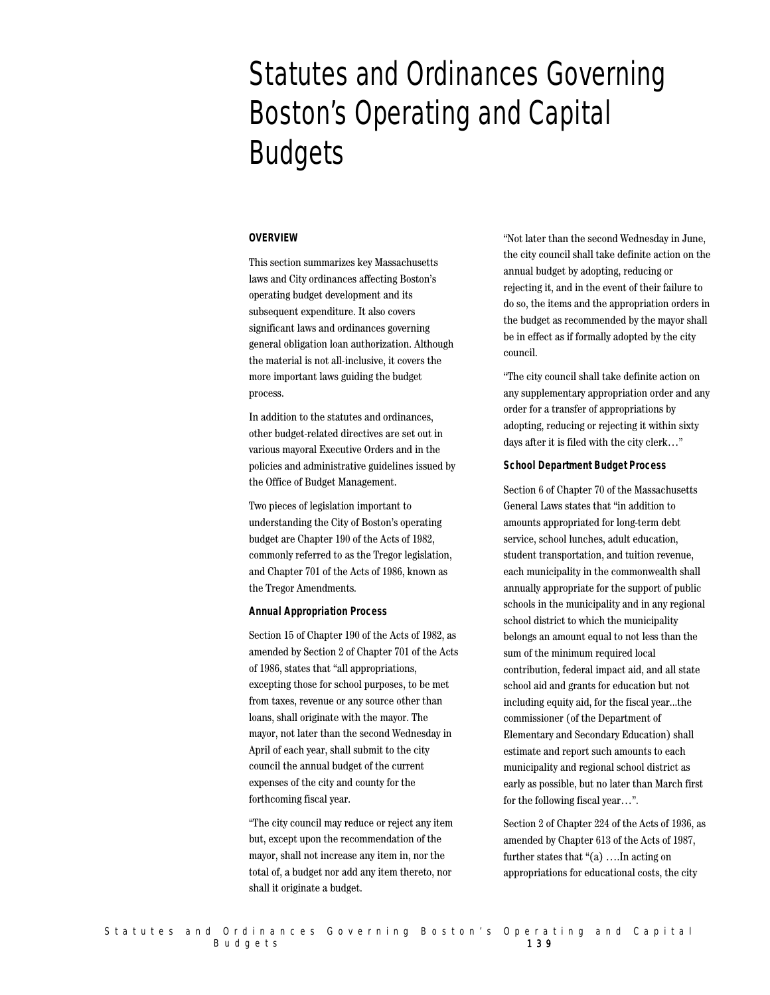# Statutes and Ordinances Governing Boston's Operating and Capital **Budgets**

# **OVERVIEW**

This section summarizes key Massachusetts laws and City ordinances affecting Boston's operating budget development and its subsequent expenditure. It also covers significant laws and ordinances governing general obligation loan authorization. Although the material is not all-inclusive, it covers the more important laws guiding the budget process.

In addition to the statutes and ordinances, other budget-related directives are set out in various mayoral Executive Orders and in the policies and administrative guidelines issued by the Office of Budget Management.

Two pieces of legislation important to understanding the City of Boston's operating budget are Chapter 190 of the Acts of 1982, commonly referred to as the Tregor legislation, and Chapter 701 of the Acts of 1986, known as the Tregor Amendments.

# **Annual Appropriation Process**

Section 15 of Chapter 190 of the Acts of 1982, as amended by Section 2 of Chapter 701 of the Acts of 1986, states that "all appropriations, excepting those for school purposes, to be met from taxes, revenue or any source other than loans, shall originate with the mayor. The mayor, not later than the second Wednesday in April of each year, shall submit to the city council the annual budget of the current expenses of the city and county for the forthcoming fiscal year.

"The city council may reduce or reject any item but, except upon the recommendation of the mayor, shall not increase any item in, nor the total of, a budget nor add any item thereto, nor shall it originate a budget.

"Not later than the second Wednesday in June, the city council shall take definite action on the annual budget by adopting, reducing or rejecting it, and in the event of their failure to do so, the items and the appropriation orders in the budget as recommended by the mayor shall be in effect as if formally adopted by the city council.

"The city council shall take definite action on any supplementary appropriation order and any order for a transfer of appropriations by adopting, reducing or rejecting it within sixty days after it is filed with the city clerk…"

# **School Department Budget Process**

Section 6 of Chapter 70 of the Massachusetts General Laws states that "in addition to amounts appropriated for long-term debt service, school lunches, adult education, student transportation, and tuition revenue, each municipality in the commonwealth shall annually appropriate for the support of public schools in the municipality and in any regional school district to which the municipality belongs an amount equal to not less than the sum of the minimum required local contribution, federal impact aid, and all state school aid and grants for education but not including equity aid, for the fiscal year...the commissioner (of the Department of Elementary and Secondary Education) shall estimate and report such amounts to each municipality and regional school district as early as possible, but no later than March first for the following fiscal year…".

Section 2 of Chapter 224 of the Acts of 1936, as amended by Chapter 613 of the Acts of 1987, further states that "(a) ….In acting on appropriations for educational costs, the city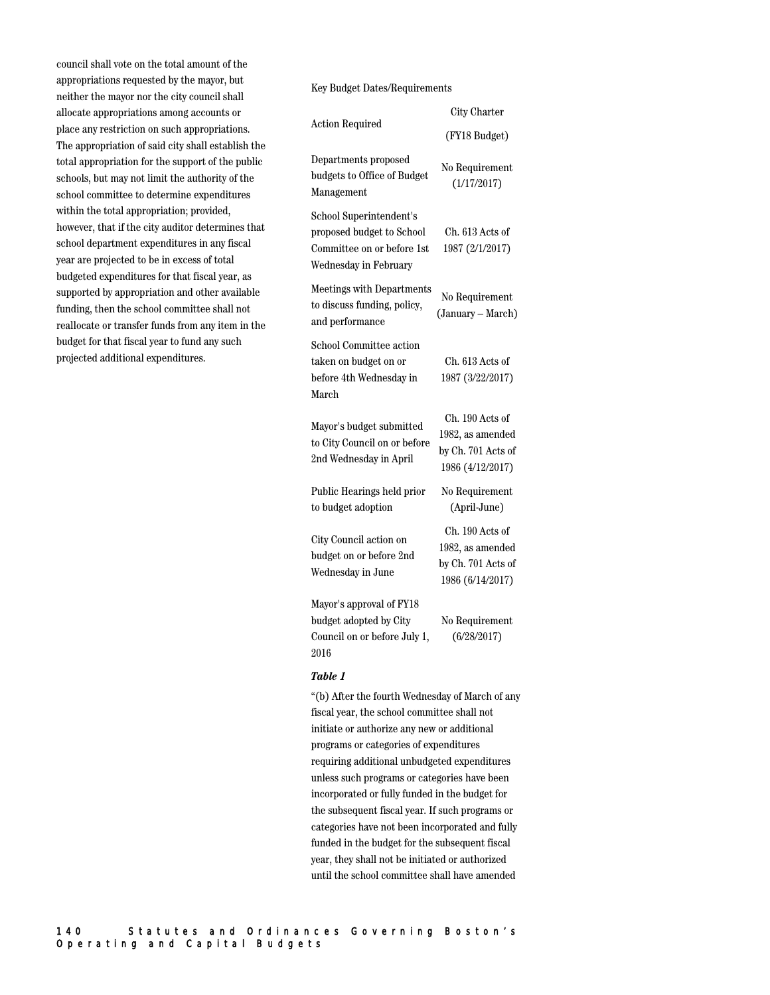council shall vote on the total amount of the appropriations requested by the mayor, but neither the mayor nor the city council shall allocate appropriations among accounts or place any restriction on such appropriations. The appropriation of said city shall establish the total appropriation for the support of the public schools, but may not limit the authority of the school committee to determine expenditures within the total appropriation; provided, however, that if the city auditor determines that school department expenditures in any fiscal year are projected to be in excess of total budgeted expenditures for that fiscal year, as supported by appropriation and other available funding, then the school committee shall not reallocate or transfer funds from any item in the budget for that fiscal year to fund any such projected additional expenditures.

Key Budget Dates/Requirements

| <b>Action Required</b>                                                                                      | City Charter                                                                  |
|-------------------------------------------------------------------------------------------------------------|-------------------------------------------------------------------------------|
|                                                                                                             | (FY18 Budget)                                                                 |
| Departments proposed<br>budgets to Office of Budget<br>Management                                           | No Requirement<br>(1/17/2017)                                                 |
| School Superintendent's<br>proposed budget to School<br>Committee on or before 1st<br>Wednesday in February | Ch. 613 Acts of<br>1987 (2/1/2017)                                            |
| <b>Meetings with Departments</b><br>to discuss funding, policy,<br>and performance                          | No Requirement<br>(January – March)                                           |
| School Committee action<br>taken on budget on or<br>before 4th Wednesday in<br>March                        | Ch. 613 Acts of<br>1987 (3/22/2017)                                           |
| Mayor's budget submitted<br>to City Council on or before<br>2nd Wednesday in April                          | Ch. 190 Acts of<br>1982, as amended<br>by Ch. 701 Acts of<br>1986 (4/12/2017) |
| Public Hearings held prior<br>to budget adoption                                                            | No Requirement<br>(April-June)                                                |
| City Council action on<br>budget on or before 2nd<br>Wednesday in June                                      | Ch. 190 Acts of<br>1982, as amended<br>by Ch. 701 Acts of<br>1986 (6/14/2017) |
| Mayor's approval of FY18<br>budget adopted by City<br>Council on or before July 1,<br>2016                  | No Requirement<br>(6/28/2017)                                                 |

## *Table 1*

"(b) After the fourth Wednesday of March of any fiscal year, the school committee shall not initiate or authorize any new or additional programs or categories of expenditures requiring additional unbudgeted expenditures unless such programs or categories have been incorporated or fully funded in the budget for the subsequent fiscal year. If such programs or categories have not been incorporated and fully funded in the budget for the subsequent fiscal year, they shall not be initiated or authorized until the school committee shall have amended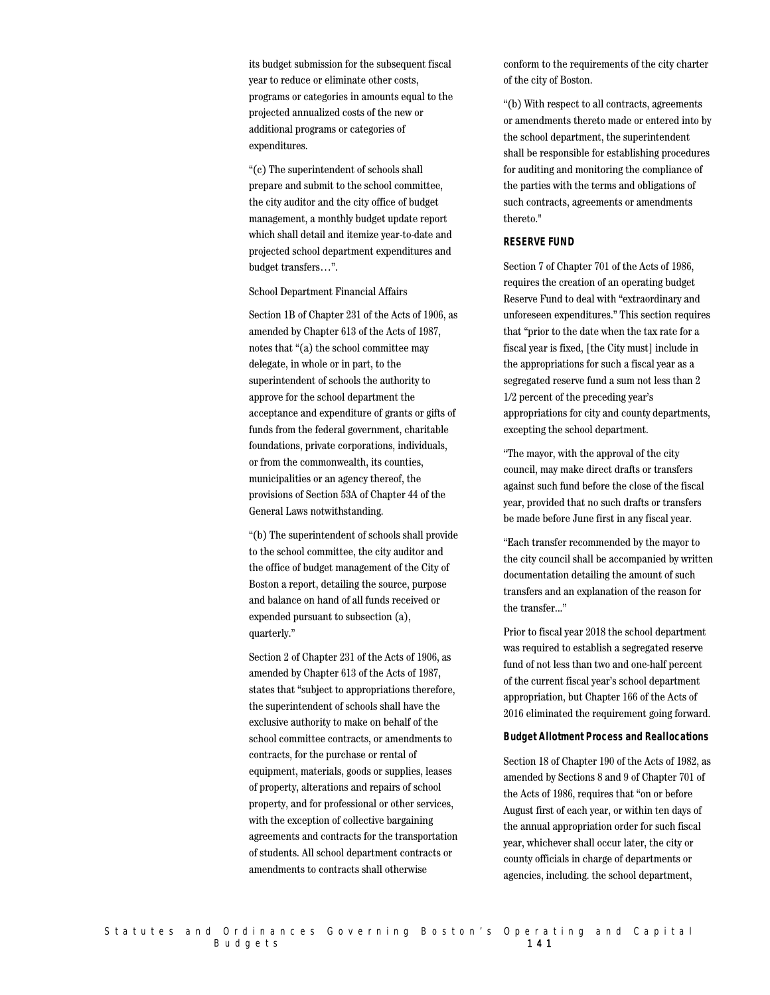its budget submission for the subsequent fiscal year to reduce or eliminate other costs, programs or categories in amounts equal to the projected annualized costs of the new or additional programs or categories of expenditures.

"(c) The superintendent of schools shall prepare and submit to the school committee, the city auditor and the city office of budget management, a monthly budget update report which shall detail and itemize year-to-date and projected school department expenditures and budget transfers…".

#### School Department Financial Affairs

Section 1B of Chapter 231 of the Acts of 1906, as amended by Chapter 613 of the Acts of 1987, notes that "(a) the school committee may delegate, in whole or in part, to the superintendent of schools the authority to approve for the school department the acceptance and expenditure of grants or gifts of funds from the federal government, charitable foundations, private corporations, individuals, or from the commonwealth, its counties, municipalities or an agency thereof, the provisions of Section 53A of Chapter 44 of the General Laws notwithstanding.

"(b) The superintendent of schools shall provide to the school committee, the city auditor and the office of budget management of the City of Boston a report, detailing the source, purpose and balance on hand of all funds received or expended pursuant to subsection (a), quarterly."

Section 2 of Chapter 231 of the Acts of 1906, as amended by Chapter 613 of the Acts of 1987, states that "subject to appropriations therefore, the superintendent of schools shall have the exclusive authority to make on behalf of the school committee contracts, or amendments to contracts, for the purchase or rental of equipment, materials, goods or supplies, leases of property, alterations and repairs of school property, and for professional or other services, with the exception of collective bargaining agreements and contracts for the transportation of students. All school department contracts or amendments to contracts shall otherwise

conform to the requirements of the city charter of the city of Boston.

"(b) With respect to all contracts, agreements or amendments thereto made or entered into by the school department, the superintendent shall be responsible for establishing procedures for auditing and monitoring the compliance of the parties with the terms and obligations of such contracts, agreements or amendments thereto."

#### **RESERVE FUND**

Section 7 of Chapter 701 of the Acts of 1986, requires the creation of an operating budget Reserve Fund to deal with "extraordinary and unforeseen expenditures." This section requires that "prior to the date when the tax rate for a fiscal year is fixed, [the City must] include in the appropriations for such a fiscal year as a segregated reserve fund a sum not less than 2 1/2 percent of the preceding year's appropriations for city and county departments, excepting the school department.

"The mayor, with the approval of the city council, may make direct drafts or transfers against such fund before the close of the fiscal year, provided that no such drafts or transfers be made before June first in any fiscal year.

"Each transfer recommended by the mayor to the city council shall be accompanied by written documentation detailing the amount of such transfers and an explanation of the reason for the transfer..."

Prior to fiscal year 2018 the school department was required to establish a segregated reserve fund of not less than two and one-half percent of the current fiscal year's school department appropriation, but Chapter 166 of the Acts of 2016 eliminated the requirement going forward.

#### **Budget Allotment Process and Reallocations**

Section 18 of Chapter 190 of the Acts of 1982, as amended by Sections 8 and 9 of Chapter 701 of the Acts of 1986, requires that "on or before August first of each year, or within ten days of the annual appropriation order for such fiscal year, whichever shall occur later, the city or county officials in charge of departments or agencies, including. the school department,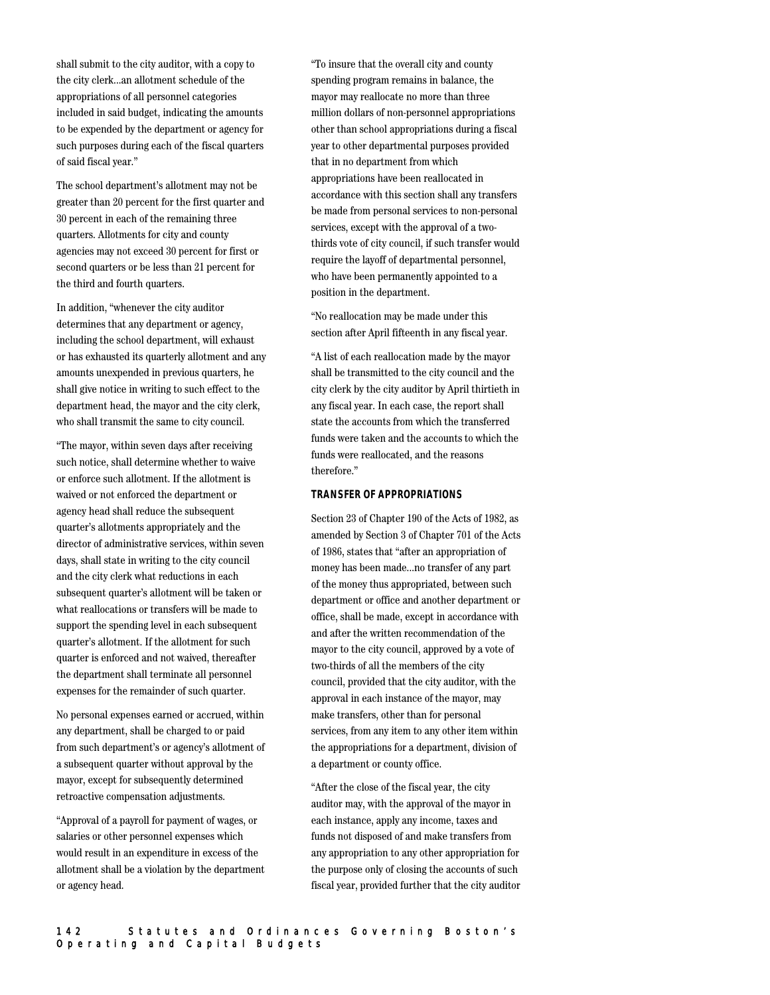appropriations of all personnel categories included in said budget, indicating the amounts to be expended by the department or agency for such purposes during each of the fiscal quarters of said fiscal year." The school department's allotment may not be greater than 20 percent for the first quarter and

shall submit to the city auditor, with a copy to the city clerk...an allotment schedule of the

30 percent in each of the remaining three quarters. Allotments for city and county agencies may not exceed 30 percent for first or second quarters or be less than 21 percent for the third and fourth quarters.

In addition, "whenever the city auditor determines that any department or agency, including the school department, will exhaust or has exhausted its quarterly allotment and any amounts unexpended in previous quarters, he shall give notice in writing to such effect to the department head, the mayor and the city clerk, who shall transmit the same to city council.

"The mayor, within seven days after receiving such notice, shall determine whether to waive or enforce such allotment. If the allotment is waived or not enforced the department or agency head shall reduce the subsequent quarter's allotments appropriately and the director of administrative services, within seven days, shall state in writing to the city council and the city clerk what reductions in each subsequent quarter's allotment will be taken or what reallocations or transfers will be made to support the spending level in each subsequent quarter's allotment. If the allotment for such quarter is enforced and not waived, thereafter the department shall terminate all personnel expenses for the remainder of such quarter.

No personal expenses earned or accrued, within any department, shall be charged to or paid from such department's or agency's allotment of a subsequent quarter without approval by the mayor, except for subsequently determined retroactive compensation adjustments.

"Approval of a payroll for payment of wages, or salaries or other personnel expenses which would result in an expenditure in excess of the allotment shall be a violation by the department or agency head.

"To insure that the overall city and county spending program remains in balance, the mayor may reallocate no more than three million dollars of non-personnel appropriations other than school appropriations during a fiscal year to other departmental purposes provided that in no department from which appropriations have been reallocated in accordance with this section shall any transfers be made from personal services to non-personal services, except with the approval of a twothirds vote of city council, if such transfer would require the layoff of departmental personnel, who have been permanently appointed to a position in the department.

"No reallocation may be made under this section after April fifteenth in any fiscal year.

"A list of each reallocation made by the mayor shall be transmitted to the city council and the city clerk by the city auditor by April thirtieth in any fiscal year. In each case, the report shall state the accounts from which the transferred funds were taken and the accounts to which the funds were reallocated, and the reasons therefore."

# **TRANSFER OF APPROPRIATIONS**

Section 23 of Chapter 190 of the Acts of 1982, as amended by Section 3 of Chapter 701 of the Acts of 1986, states that "after an appropriation of money has been made...no transfer of any part of the money thus appropriated, between such department or office and another department or office, shall be made, except in accordance with and after the written recommendation of the mayor to the city council, approved by a vote of two-thirds of all the members of the city council, provided that the city auditor, with the approval in each instance of the mayor, may make transfers, other than for personal services, from any item to any other item within the appropriations for a department, division of a department or county office.

"After the close of the fiscal year, the city auditor may, with the approval of the mayor in each instance, apply any income, taxes and funds not disposed of and make transfers from any appropriation to any other appropriation for the purpose only of closing the accounts of such fiscal year, provided further that the city auditor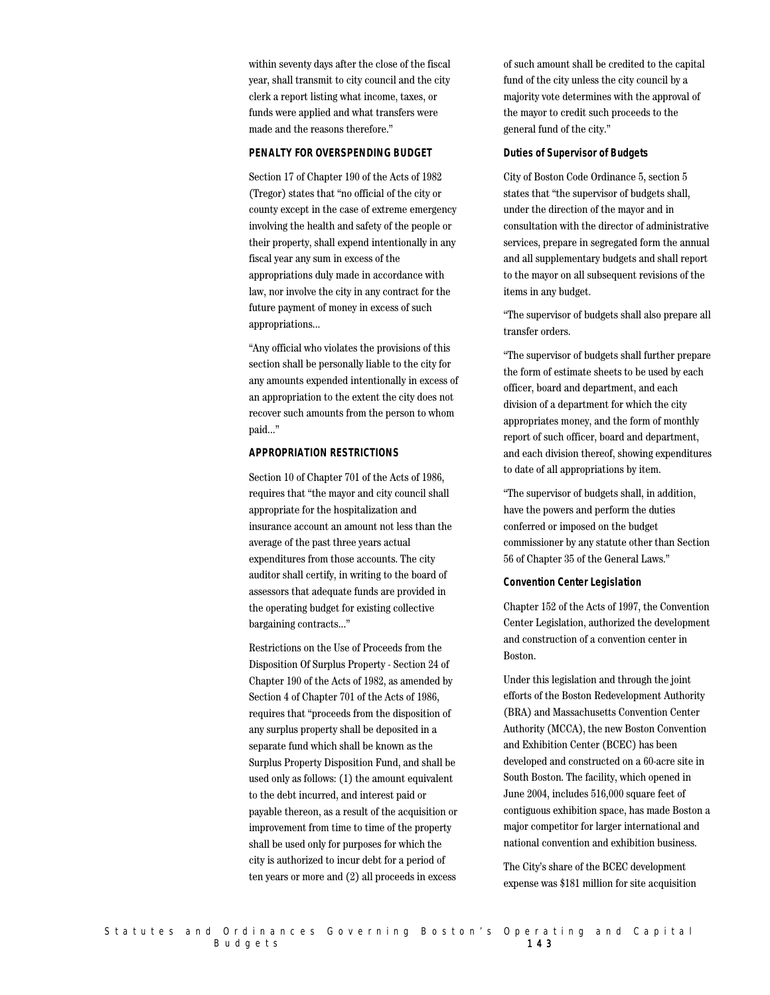within seventy days after the close of the fiscal year, shall transmit to city council and the city clerk a report listing what income, taxes, or funds were applied and what transfers were made and the reasons therefore."

## **PENALTY FOR OVERSPENDING BUDGET**

Section 17 of Chapter 190 of the Acts of 1982 (Tregor) states that "no official of the city or county except in the case of extreme emergency involving the health and safety of the people or their property, shall expend intentionally in any fiscal year any sum in excess of the appropriations duly made in accordance with law, nor involve the city in any contract for the future payment of money in excess of such appropriations...

"Any official who violates the provisions of this section shall be personally liable to the city for any amounts expended intentionally in excess of an appropriation to the extent the city does not recover such amounts from the person to whom paid..."

# **APPROPRIATION RESTRICTIONS**

Section 10 of Chapter 701 of the Acts of 1986, requires that "the mayor and city council shall appropriate for the hospitalization and insurance account an amount not less than the average of the past three years actual expenditures from those accounts. The city auditor shall certify, in writing to the board of assessors that adequate funds are provided in the operating budget for existing collective bargaining contracts..."

Restrictions on the Use of Proceeds from the Disposition Of Surplus Property - Section 24 of Chapter 190 of the Acts of 1982, as amended by Section 4 of Chapter 701 of the Acts of 1986, requires that "proceeds from the disposition of any surplus property shall be deposited in a separate fund which shall be known as the Surplus Property Disposition Fund, and shall be used only as follows: (1) the amount equivalent to the debt incurred, and interest paid or payable thereon, as a result of the acquisition or improvement from time to time of the property shall be used only for purposes for which the city is authorized to incur debt for a period of ten years or more and (2) all proceeds in excess

of such amount shall be credited to the capital fund of the city unless the city council by a majority vote determines with the approval of the mayor to credit such proceeds to the general fund of the city."

# **Duties of Supervisor of Budgets**

City of Boston Code Ordinance 5, section 5 states that "the supervisor of budgets shall, under the direction of the mayor and in consultation with the director of administrative services, prepare in segregated form the annual and all supplementary budgets and shall report to the mayor on all subsequent revisions of the items in any budget.

"The supervisor of budgets shall also prepare all transfer orders.

"The supervisor of budgets shall further prepare the form of estimate sheets to be used by each officer, board and department, and each division of a department for which the city appropriates money, and the form of monthly report of such officer, board and department, and each division thereof, showing expenditures to date of all appropriations by item.

"The supervisor of budgets shall, in addition, have the powers and perform the duties conferred or imposed on the budget commissioner by any statute other than Section 56 of Chapter 35 of the General Laws."

#### **Convention Center Legislation**

Chapter 152 of the Acts of 1997, the Convention Center Legislation, authorized the development and construction of a convention center in Boston.

Under this legislation and through the joint efforts of the Boston Redevelopment Authority (BRA) and Massachusetts Convention Center Authority (MCCA), the new Boston Convention and Exhibition Center (BCEC) has been developed and constructed on a 60-acre site in South Boston. The facility, which opened in June 2004, includes 516,000 square feet of contiguous exhibition space, has made Boston a major competitor for larger international and national convention and exhibition business.

The City's share of the BCEC development expense was \$181 million for site acquisition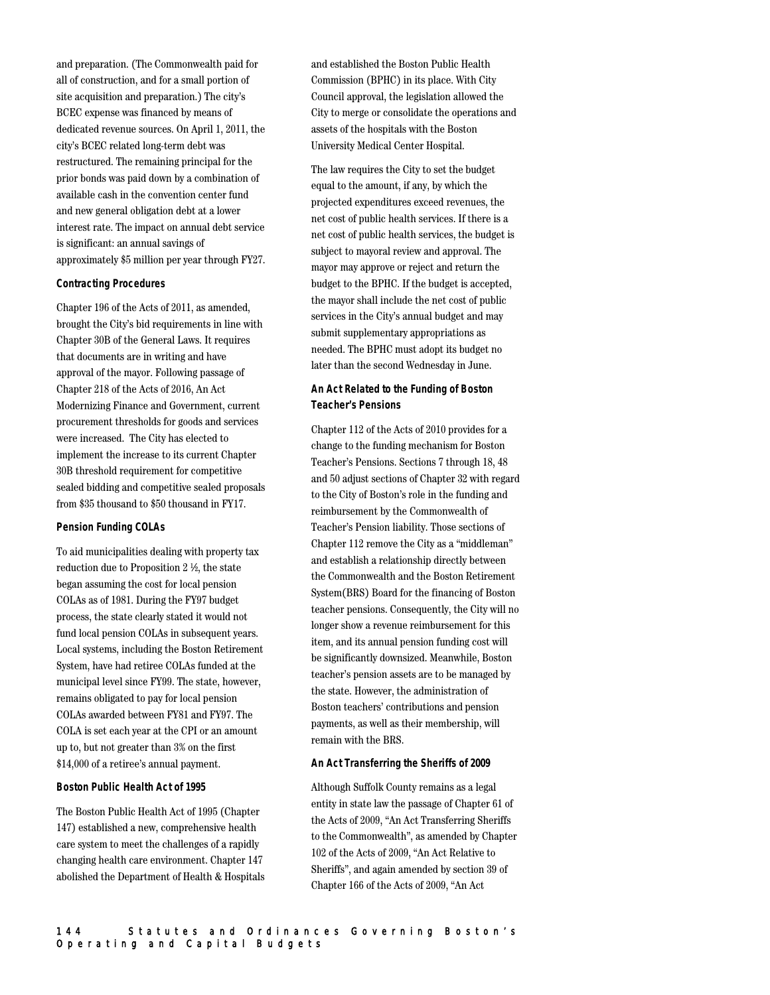and preparation. (The Commonwealth paid for all of construction, and for a small portion of site acquisition and preparation.) The city's BCEC expense was financed by means of dedicated revenue sources. On April 1, 2011, the city's BCEC related long-term debt was restructured. The remaining principal for the prior bonds was paid down by a combination of available cash in the convention center fund and new general obligation debt at a lower interest rate. The impact on annual debt service is significant: an annual savings of approximately \$5 million per year through FY27.

# **Contracting Procedures**

Chapter 196 of the Acts of 2011, as amended, brought the City's bid requirements in line with Chapter 30B of the General Laws. It requires that documents are in writing and have approval of the mayor. Following passage of Chapter 218 of the Acts of 2016, An Act Modernizing Finance and Government, current procurement thresholds for goods and services were increased. The City has elected to implement the increase to its current Chapter 30B threshold requirement for competitive sealed bidding and competitive sealed proposals from \$35 thousand to \$50 thousand in FY17.

#### **Pension Funding COLAs**

To aid municipalities dealing with property tax reduction due to Proposition 2 ½, the state began assuming the cost for local pension COLAs as of 1981. During the FY97 budget process, the state clearly stated it would not fund local pension COLAs in subsequent years. Local systems, including the Boston Retirement System, have had retiree COLAs funded at the municipal level since FY99. The state, however, remains obligated to pay for local pension COLAs awarded between FY81 and FY97. The COLA is set each year at the CPI or an amount up to, but not greater than 3% on the first \$14,000 of a retiree's annual payment.

## **Boston Public Health Act of 1995**

The Boston Public Health Act of 1995 (Chapter 147) established a new, comprehensive health care system to meet the challenges of a rapidly changing health care environment. Chapter 147 abolished the Department of Health & Hospitals and established the Boston Public Health Commission (BPHC) in its place. With City Council approval, the legislation allowed the City to merge or consolidate the operations and assets of the hospitals with the Boston University Medical Center Hospital.

The law requires the City to set the budget equal to the amount, if any, by which the projected expenditures exceed revenues, the net cost of public health services. If there is a net cost of public health services, the budget is subject to mayoral review and approval. The mayor may approve or reject and return the budget to the BPHC. If the budget is accepted, the mayor shall include the net cost of public services in the City's annual budget and may submit supplementary appropriations as needed. The BPHC must adopt its budget no later than the second Wednesday in June.

# **An Act Related to the Funding of Boston Teacher's Pensions**

Chapter 112 of the Acts of 2010 provides for a change to the funding mechanism for Boston Teacher's Pensions. Sections 7 through 18, 48 and 50 adjust sections of Chapter 32 with regard to the City of Boston's role in the funding and reimbursement by the Commonwealth of Teacher's Pension liability. Those sections of Chapter 112 remove the City as a "middleman" and establish a relationship directly between the Commonwealth and the Boston Retirement System(BRS) Board for the financing of Boston teacher pensions. Consequently, the City will no longer show a revenue reimbursement for this item, and its annual pension funding cost will be significantly downsized. Meanwhile, Boston teacher's pension assets are to be managed by the state. However, the administration of Boston teachers' contributions and pension payments, as well as their membership, will remain with the BRS.

#### **An Act Transferring the Sheriffs of 2009**

Although Suffolk County remains as a legal entity in state law the passage of Chapter 61 of the Acts of 2009, "An Act Transferring Sheriffs to the Commonwealth", as amended by Chapter 102 of the Acts of 2009, "An Act Relative to Sheriffs", and again amended by section 39 of Chapter 166 of the Acts of 2009, "An Act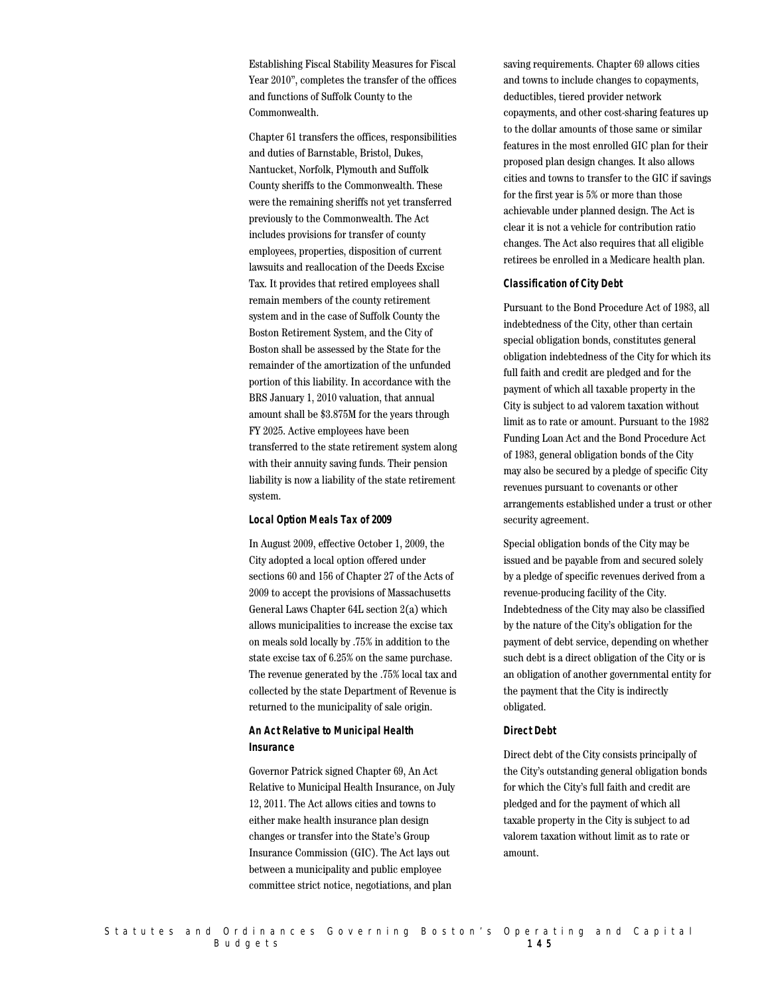Establishing Fiscal Stability Measures for Fiscal Year 2010", completes the transfer of the offices and functions of Suffolk County to the Commonwealth.

Chapter 61 transfers the offices, responsibilities and duties of Barnstable, Bristol, Dukes, Nantucket, Norfolk, Plymouth and Suffolk County sheriffs to the Commonwealth. These were the remaining sheriffs not yet transferred previously to the Commonwealth. The Act includes provisions for transfer of county employees, properties, disposition of current lawsuits and reallocation of the Deeds Excise Tax. It provides that retired employees shall remain members of the county retirement system and in the case of Suffolk County the Boston Retirement System, and the City of Boston shall be assessed by the State for the remainder of the amortization of the unfunded portion of this liability. In accordance with the BRS January 1, 2010 valuation, that annual amount shall be \$3.875M for the years through FY 2025. Active employees have been transferred to the state retirement system along with their annuity saving funds. Their pension liability is now a liability of the state retirement system.

#### **Local Option Meals Tax of 2009**

In August 2009, effective October 1, 2009, the City adopted a local option offered under sections 60 and 156 of Chapter 27 of the Acts of 2009 to accept the provisions of Massachusetts General Laws Chapter 64L section 2(a) which allows municipalities to increase the excise tax on meals sold locally by .75% in addition to the state excise tax of 6.25% on the same purchase. The revenue generated by the .75% local tax and collected by the state Department of Revenue is returned to the municipality of sale origin.

# **An Act Relative to Municipal Health Insurance**

Governor Patrick signed Chapter 69, An Act Relative to Municipal Health Insurance, on July 12, 2011. The Act allows cities and towns to either make health insurance plan design changes or transfer into the State's Group Insurance Commission (GIC). The Act lays out between a municipality and public employee committee strict notice, negotiations, and plan

saving requirements. Chapter 69 allows cities and towns to include changes to copayments, deductibles, tiered provider network copayments, and other cost-sharing features up to the dollar amounts of those same or similar features in the most enrolled GIC plan for their proposed plan design changes. It also allows cities and towns to transfer to the GIC if savings for the first year is 5% or more than those achievable under planned design. The Act is clear it is not a vehicle for contribution ratio changes. The Act also requires that all eligible retirees be enrolled in a Medicare health plan.

#### **Classification of City Debt**

Pursuant to the Bond Procedure Act of 1983, all indebtedness of the City, other than certain special obligation bonds, constitutes general obligation indebtedness of the City for which its full faith and credit are pledged and for the payment of which all taxable property in the City is subject to ad valorem taxation without limit as to rate or amount. Pursuant to the 1982 Funding Loan Act and the Bond Procedure Act of 1983, general obligation bonds of the City may also be secured by a pledge of specific City revenues pursuant to covenants or other arrangements established under a trust or other security agreement.

Special obligation bonds of the City may be issued and be payable from and secured solely by a pledge of specific revenues derived from a revenue-producing facility of the City. Indebtedness of the City may also be classified by the nature of the City's obligation for the payment of debt service, depending on whether such debt is a direct obligation of the City or is an obligation of another governmental entity for the payment that the City is indirectly obligated.

#### **Direct Debt**

Direct debt of the City consists principally of the City's outstanding general obligation bonds for which the City's full faith and credit are pledged and for the payment of which all taxable property in the City is subject to ad valorem taxation without limit as to rate or amount.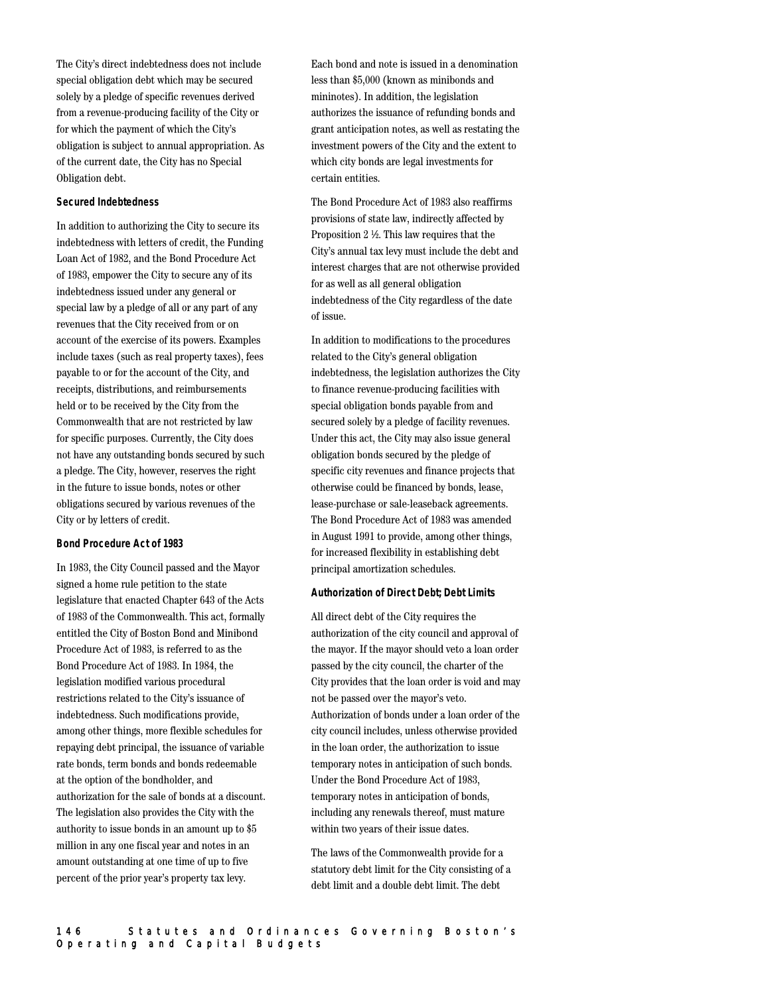The City's direct indebtedness does not include special obligation debt which may be secured solely by a pledge of specific revenues derived from a revenue-producing facility of the City or for which the payment of which the City's obligation is subject to annual appropriation. As of the current date, the City has no Special Obligation debt.

#### **Secured Indebtedness**

In addition to authorizing the City to secure its indebtedness with letters of credit, the Funding Loan Act of 1982, and the Bond Procedure Act of 1983, empower the City to secure any of its indebtedness issued under any general or special law by a pledge of all or any part of any revenues that the City received from or on account of the exercise of its powers. Examples include taxes (such as real property taxes), fees payable to or for the account of the City, and receipts, distributions, and reimbursements held or to be received by the City from the Commonwealth that are not restricted by law for specific purposes. Currently, the City does not have any outstanding bonds secured by such a pledge. The City, however, reserves the right in the future to issue bonds, notes or other obligations secured by various revenues of the City or by letters of credit.

#### **Bond Procedure Act of 1983**

In 1983, the City Council passed and the Mayor signed a home rule petition to the state legislature that enacted Chapter 643 of the Acts of 1983 of the Commonwealth. This act, formally entitled the City of Boston Bond and Minibond Procedure Act of 1983, is referred to as the Bond Procedure Act of 1983. In 1984, the legislation modified various procedural restrictions related to the City's issuance of indebtedness. Such modifications provide, among other things, more flexible schedules for repaying debt principal, the issuance of variable rate bonds, term bonds and bonds redeemable at the option of the bondholder, and authorization for the sale of bonds at a discount. The legislation also provides the City with the authority to issue bonds in an amount up to \$5 million in any one fiscal year and notes in an amount outstanding at one time of up to five percent of the prior year's property tax levy.

Each bond and note is issued in a denomination less than \$5,000 (known as minibonds and mininotes). In addition, the legislation authorizes the issuance of refunding bonds and grant anticipation notes, as well as restating the investment powers of the City and the extent to which city bonds are legal investments for certain entities.

The Bond Procedure Act of 1983 also reaffirms provisions of state law, indirectly affected by Proposition 2 ½. This law requires that the City's annual tax levy must include the debt and interest charges that are not otherwise provided for as well as all general obligation indebtedness of the City regardless of the date of issue.

In addition to modifications to the procedures related to the City's general obligation indebtedness, the legislation authorizes the City to finance revenue-producing facilities with special obligation bonds payable from and secured solely by a pledge of facility revenues. Under this act, the City may also issue general obligation bonds secured by the pledge of specific city revenues and finance projects that otherwise could be financed by bonds, lease, lease-purchase or sale-leaseback agreements. The Bond Procedure Act of 1983 was amended in August 1991 to provide, among other things, for increased flexibility in establishing debt principal amortization schedules.

#### **Authorization of Direct Debt; Debt Limits**

All direct debt of the City requires the authorization of the city council and approval of the mayor. If the mayor should veto a loan order passed by the city council, the charter of the City provides that the loan order is void and may not be passed over the mayor's veto. Authorization of bonds under a loan order of the city council includes, unless otherwise provided in the loan order, the authorization to issue temporary notes in anticipation of such bonds. Under the Bond Procedure Act of 1983, temporary notes in anticipation of bonds, including any renewals thereof, must mature within two years of their issue dates.

The laws of the Commonwealth provide for a statutory debt limit for the City consisting of a debt limit and a double debt limit. The debt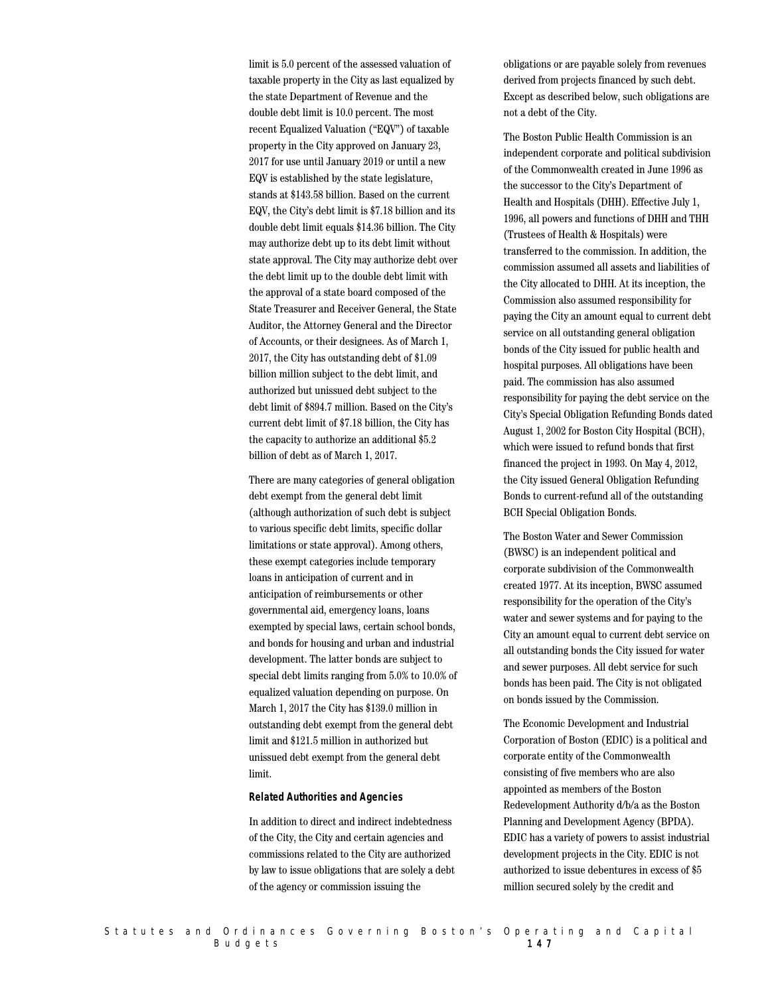limit is 5.0 percent of the assessed valuation of taxable property in the City as last equalized by the state Department of Revenue and the double debt limit is 10.0 percent. The most recent Equalized Valuation ("EQV") of taxable property in the City approved on January 23, 2017 for use until January 2019 or until a new EQV is established by the state legislature, stands at \$143.58 billion. Based on the current EQV, the City's debt limit is \$7.18 billion and its double debt limit equals \$14.36 billion. The City may authorize debt up to its debt limit without state approval. The City may authorize debt over the debt limit up to the double debt limit with the approval of a state board composed of the State Treasurer and Receiver General, the State Auditor, the Attorney General and the Director of Accounts, or their designees. As of March 1, 2017, the City has outstanding debt of \$1.09 billion million subject to the debt limit, and authorized but unissued debt subject to the debt limit of \$894.7 million. Based on the City's current debt limit of \$7.18 billion, the City has the capacity to authorize an additional \$5.2 billion of debt as of March 1, 2017.

There are many categories of general obligation debt exempt from the general debt limit (although authorization of such debt is subject to various specific debt limits, specific dollar limitations or state approval). Among others, these exempt categories include temporary loans in anticipation of current and in anticipation of reimbursements or other governmental aid, emergency loans, loans exempted by special laws, certain school bonds, and bonds for housing and urban and industrial development. The latter bonds are subject to special debt limits ranging from 5.0% to 10.0% of equalized valuation depending on purpose. On March 1, 2017 the City has \$139.0 million in outstanding debt exempt from the general debt limit and \$121.5 million in authorized but unissued debt exempt from the general debt limit.

#### **Related Authorities and Agencies**

In addition to direct and indirect indebtedness of the City, the City and certain agencies and commissions related to the City are authorized by law to issue obligations that are solely a debt of the agency or commission issuing the

obligations or are payable solely from revenues derived from projects financed by such debt. Except as described below, such obligations are not a debt of the City.

The Boston Public Health Commission is an independent corporate and political subdivision of the Commonwealth created in June 1996 as the successor to the City's Department of Health and Hospitals (DHH). Effective July 1, 1996, all powers and functions of DHH and THH (Trustees of Health & Hospitals) were transferred to the commission. In addition, the commission assumed all assets and liabilities of the City allocated to DHH. At its inception, the Commission also assumed responsibility for paying the City an amount equal to current debt service on all outstanding general obligation bonds of the City issued for public health and hospital purposes. All obligations have been paid. The commission has also assumed responsibility for paying the debt service on the City's Special Obligation Refunding Bonds dated August 1, 2002 for Boston City Hospital (BCH), which were issued to refund bonds that first financed the project in 1993. On May 4, 2012, the City issued General Obligation Refunding Bonds to current-refund all of the outstanding BCH Special Obligation Bonds.

The Boston Water and Sewer Commission (BWSC) is an independent political and corporate subdivision of the Commonwealth created 1977. At its inception, BWSC assumed responsibility for the operation of the City's water and sewer systems and for paying to the City an amount equal to current debt service on all outstanding bonds the City issued for water and sewer purposes. All debt service for such bonds has been paid. The City is not obligated on bonds issued by the Commission.

The Economic Development and Industrial Corporation of Boston (EDIC) is a political and corporate entity of the Commonwealth consisting of five members who are also appointed as members of the Boston Redevelopment Authority d/b/a as the Boston Planning and Development Agency (BPDA). EDIC has a variety of powers to assist industrial development projects in the City. EDIC is not authorized to issue debentures in excess of \$5 million secured solely by the credit and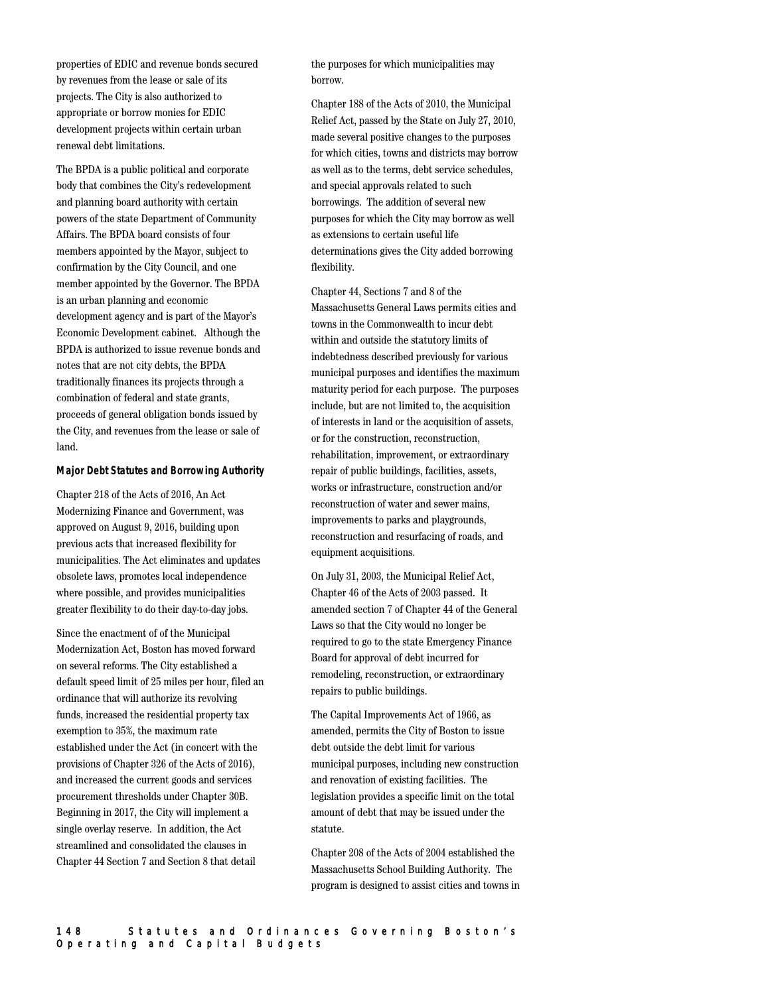properties of EDIC and revenue bonds secured by revenues from the lease or sale of its projects. The City is also authorized to appropriate or borrow monies for EDIC development projects within certain urban renewal debt limitations.

The BPDA is a public political and corporate body that combines the City's redevelopment and planning board authority with certain powers of the state Department of Community Affairs. The BPDA board consists of four members appointed by the Mayor, subject to confirmation by the City Council, and one member appointed by the Governor. The BPDA is an urban planning and economic development agency and is part of the Mayor's Economic Development cabinet. Although the BPDA is authorized to issue revenue bonds and notes that are not city debts, the BPDA traditionally finances its projects through a combination of federal and state grants, proceeds of general obligation bonds issued by the City, and revenues from the lease or sale of land.

# **Major Debt Statutes and Borrowing Authority**

Chapter 218 of the Acts of 2016, An Act Modernizing Finance and Government, was approved on August 9, 2016, building upon previous acts that increased flexibility for municipalities. The Act eliminates and updates obsolete laws, promotes local independence where possible, and provides municipalities greater flexibility to do their day-to-day jobs.

Since the enactment of of the Municipal Modernization Act, Boston has moved forward on several reforms. The City established a default speed limit of 25 miles per hour, filed an ordinance that will authorize its revolving funds, increased the residential property tax exemption to 35%, the maximum rate established under the Act (in concert with the provisions of Chapter 326 of the Acts of 2016), and increased the current goods and services procurement thresholds under Chapter 30B. Beginning in 2017, the City will implement a single overlay reserve. In addition, the Act streamlined and consolidated the clauses in Chapter 44 Section 7 and Section 8 that detail

the purposes for which municipalities may borrow.

Chapter 188 of the Acts of 2010, the Municipal Relief Act, passed by the State on July 27, 2010, made several positive changes to the purposes for which cities, towns and districts may borrow as well as to the terms, debt service schedules, and special approvals related to such borrowings. The addition of several new purposes for which the City may borrow as well as extensions to certain useful life determinations gives the City added borrowing flexibility.

Chapter 44, Sections 7 and 8 of the Massachusetts General Laws permits cities and towns in the Commonwealth to incur debt within and outside the statutory limits of indebtedness described previously for various municipal purposes and identifies the maximum maturity period for each purpose. The purposes include, but are not limited to, the acquisition of interests in land or the acquisition of assets, or for the construction, reconstruction, rehabilitation, improvement, or extraordinary repair of public buildings, facilities, assets, works or infrastructure, construction and/or reconstruction of water and sewer mains, improvements to parks and playgrounds, reconstruction and resurfacing of roads, and equipment acquisitions.

On July 31, 2003, the Municipal Relief Act, Chapter 46 of the Acts of 2003 passed. It amended section 7 of Chapter 44 of the General Laws so that the City would no longer be required to go to the state Emergency Finance Board for approval of debt incurred for remodeling, reconstruction, or extraordinary repairs to public buildings.

The Capital Improvements Act of 1966, as amended, permits the City of Boston to issue debt outside the debt limit for various municipal purposes, including new construction and renovation of existing facilities. The legislation provides a specific limit on the total amount of debt that may be issued under the statute.

Chapter 208 of the Acts of 2004 established the Massachusetts School Building Authority. The program is designed to assist cities and towns in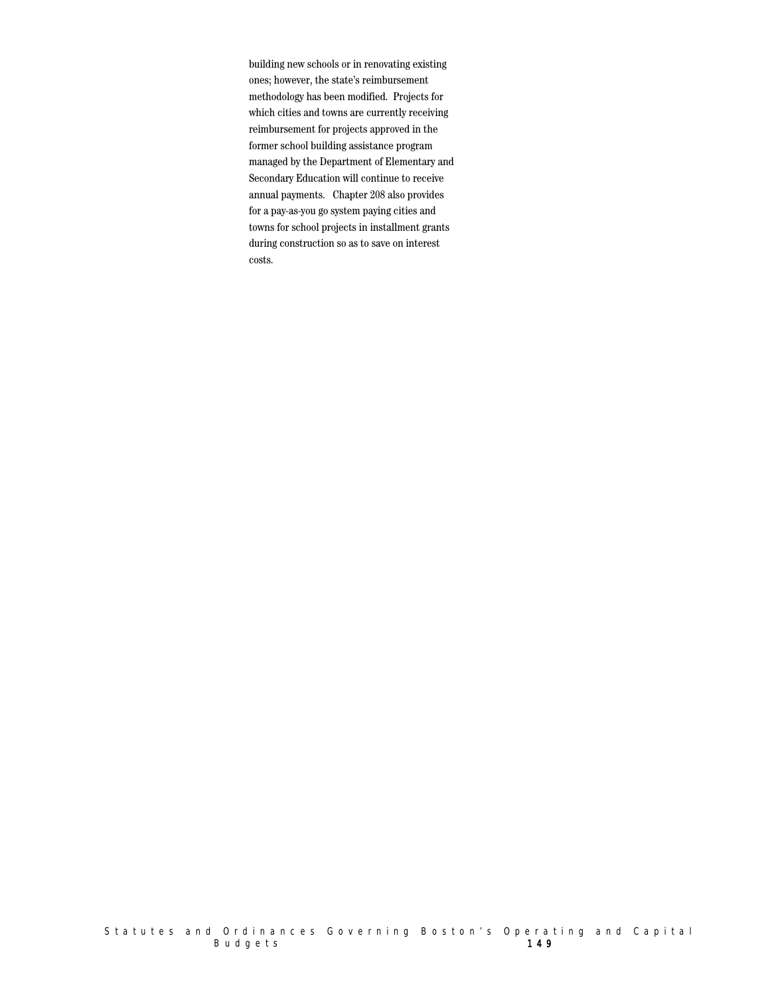building new schools or in renovating existing ones; however, the state's reimbursement methodology has been modified. Projects for which cities and towns are currently receiving reimbursement for projects approved in the former school building assistance program managed by the Department of Elementary and Secondary Education will continue to receive annual payments. Chapter 208 also provides for a pay-as-you go system paying cities and towns for school projects in installment grants during construction so as to save on interest costs.